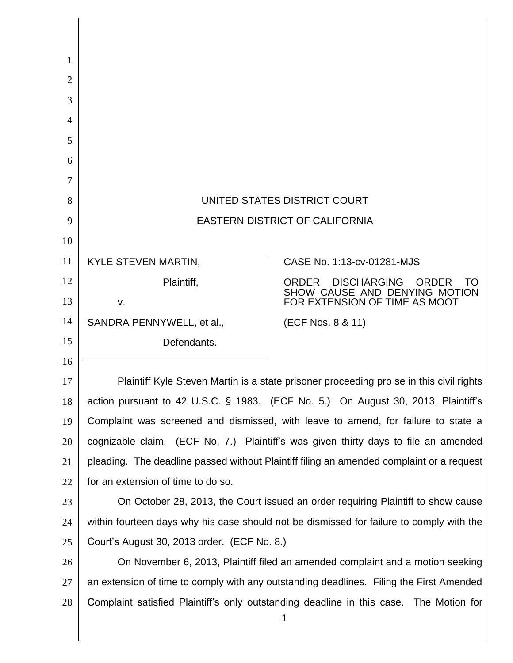| 1              |                                                                                          |                                                                                             |
|----------------|------------------------------------------------------------------------------------------|---------------------------------------------------------------------------------------------|
| $\overline{2}$ |                                                                                          |                                                                                             |
| 3              |                                                                                          |                                                                                             |
| $\overline{4}$ |                                                                                          |                                                                                             |
| 5              |                                                                                          |                                                                                             |
| 6              |                                                                                          |                                                                                             |
| 7              |                                                                                          |                                                                                             |
| 8              | UNITED STATES DISTRICT COURT                                                             |                                                                                             |
| 9              | <b>EASTERN DISTRICT OF CALIFORNIA</b>                                                    |                                                                                             |
| 10             |                                                                                          |                                                                                             |
| 11             | KYLE STEVEN MARTIN,                                                                      | CASE No. 1:13-cv-01281-MJS                                                                  |
| 12             | Plaintiff,                                                                               | <b>DISCHARGING</b><br><b>ORDER</b><br><b>ORDER</b><br>TΟ<br>SHOW CAUSE AND DENYING MOTION   |
| 13             | v.                                                                                       | FOR EXTENSION OF TIME AS MOOT                                                               |
| 14             | SANDRA PENNYWELL, et al.,                                                                | (ECF Nos. 8 & 11)                                                                           |
| 15             | Defendants.                                                                              |                                                                                             |
| 16             |                                                                                          |                                                                                             |
| 17             | Plaintiff Kyle Steven Martin is a state prisoner proceeding pro se in this civil rights  |                                                                                             |
| 18             |                                                                                          | action pursuant to 42 U.S.C. § 1983. (ECF No. 5.) On August 30, 2013, Plaintiff's           |
| 19             | Complaint was screened and dismissed, with leave to amend, for failure to state a        |                                                                                             |
| 20             | cognizable claim. (ECF No. 7.) Plaintiff's was given thirty days to file an amended      |                                                                                             |
| 21             | pleading. The deadline passed without Plaintiff filing an amended complaint or a request |                                                                                             |
| 22             | for an extension of time to do so.                                                       |                                                                                             |
| 23             | On October 28, 2013, the Court issued an order requiring Plaintiff to show cause         |                                                                                             |
| 24             | within fourteen days why his case should not be dismissed for failure to comply with the |                                                                                             |
| 25             | Court's August 30, 2013 order. (ECF No. 8.)                                              |                                                                                             |
| 26             | On November 6, 2013, Plaintiff filed an amended complaint and a motion seeking           |                                                                                             |
| 27             | an extension of time to comply with any outstanding deadlines. Filing the First Amended  |                                                                                             |
| 28             |                                                                                          | Complaint satisfied Plaintiff's only outstanding deadline in this case. The Motion for<br>1 |

║